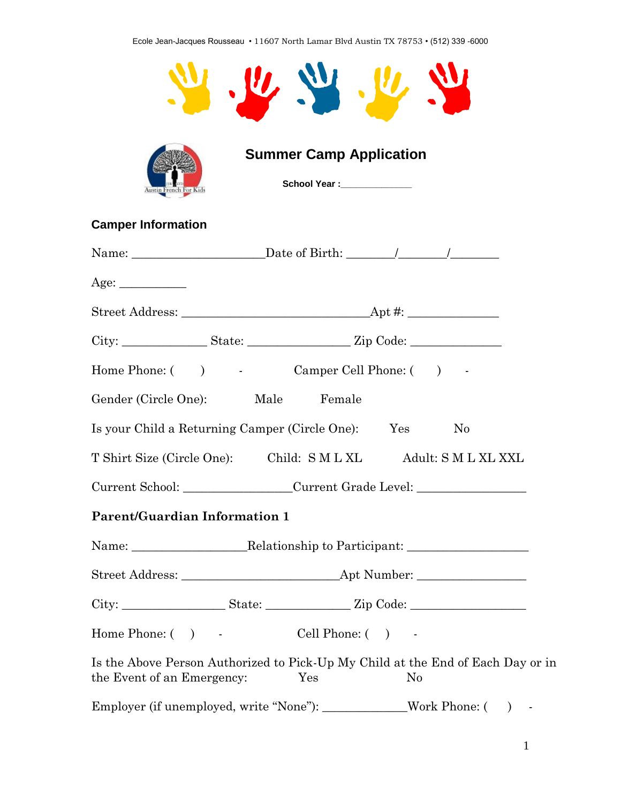Ecole Jean-Jacques Rousseau • 11607 North Lamar Blvd Austin TX 78753 • (512) 339 -6000



| ustin French For Kids |  |  |
|-----------------------|--|--|

 **Summer Camp Application**

 **School Year :\_\_\_\_\_\_\_\_\_\_\_\_\_\_**

# **Camper Information**

| Age:                                                                                                          |     |                |          |  |
|---------------------------------------------------------------------------------------------------------------|-----|----------------|----------|--|
|                                                                                                               |     |                |          |  |
|                                                                                                               |     |                |          |  |
| Home Phone: ( ) - Camper Cell Phone: ( ) -                                                                    |     |                |          |  |
| Gender (Circle One): Male Female                                                                              |     |                |          |  |
| Is your Child a Returning Camper (Circle One): Yes                                                            |     |                | $\rm No$ |  |
| T Shirt Size (Circle One): Child: S M L XL Adult: S M L XL XXL                                                |     |                |          |  |
| Current School: _______________Current Grade Level: ____________________________                              |     |                |          |  |
| <b>Parent/Guardian Information 1</b>                                                                          |     |                |          |  |
|                                                                                                               |     |                |          |  |
|                                                                                                               |     |                |          |  |
|                                                                                                               |     |                |          |  |
| Home Phone: ( ) Cell Phone: ( ) -                                                                             |     |                |          |  |
| Is the Above Person Authorized to Pick-Up My Child at the End of Each Day or in<br>the Event of an Emergency: | Yes | N <sub>0</sub> |          |  |
| Employer (if unemployed, write "None"): ______________Work Phone: () -                                        |     |                |          |  |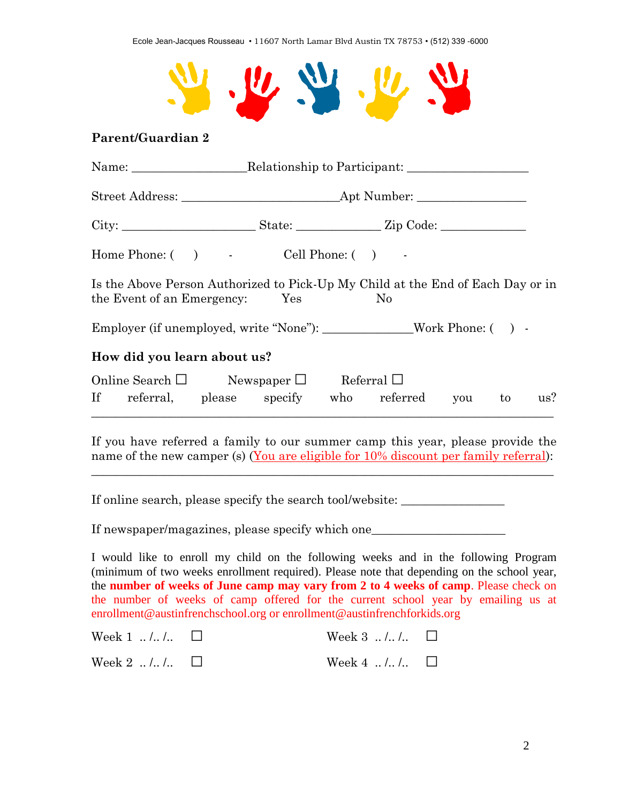

## **Parent/Guardian 2**

| Home Phone: $( )$ $\qquad$ Cell Phone: $( )$ $\qquad$                                                                 |  |  |  |  |  |  |
|-----------------------------------------------------------------------------------------------------------------------|--|--|--|--|--|--|
| Is the Above Person Authorized to Pick-Up My Child at the End of Each Day or in<br>the Event of an Emergency: Yes No  |  |  |  |  |  |  |
| Employer (if unemployed, write "None"): _________________Work Phone: () -                                             |  |  |  |  |  |  |
| How did you learn about us?                                                                                           |  |  |  |  |  |  |
| Online Search $\square$ Newspaper $\square$ Referral $\square$<br>If referral, please specify who referred you to us? |  |  |  |  |  |  |

If you have referred a family to our summer camp this year, please provide the name of the new camper (s) (You are eligible for 10% discount per family referral):

\_\_\_\_\_\_\_\_\_\_\_\_\_\_\_\_\_\_\_\_\_\_\_\_\_\_\_\_\_\_\_\_\_\_\_\_\_\_\_\_\_\_\_\_\_\_\_\_\_\_\_\_\_\_\_\_\_\_\_\_\_\_\_\_\_\_\_\_\_\_\_\_\_\_\_\_

If online search, please specify the search tool/website: \_\_\_\_\_\_\_\_\_\_\_\_\_\_\_\_\_\_\_\_\_\_

If newspaper/magazines, please specify which one\_\_\_\_\_\_\_\_\_\_\_\_\_\_\_\_\_\_\_\_\_\_\_\_\_\_\_\_\_\_\_\_

I would like to enroll my child on the following weeks and in the following Program (minimum of two weeks enrollment required). Please note that depending on the school year, the **number of weeks of June camp may vary from 2 to 4 weeks of camp**. Please check on the number of weeks of camp offered for the current school year by emailing us at enrollment@austinfrenchschool.org or enrollment@austinfrenchforkids.org

| Week 1 $\ldots$ $\ldots$ $\Box$ | Week $3 \ldots \ldots \ldots \square$ |  |
|---------------------------------|---------------------------------------|--|
| Week 2 $\ldots$ $\ldots$ $\Box$ | Week 4 $\ldots$ $\Box$                |  |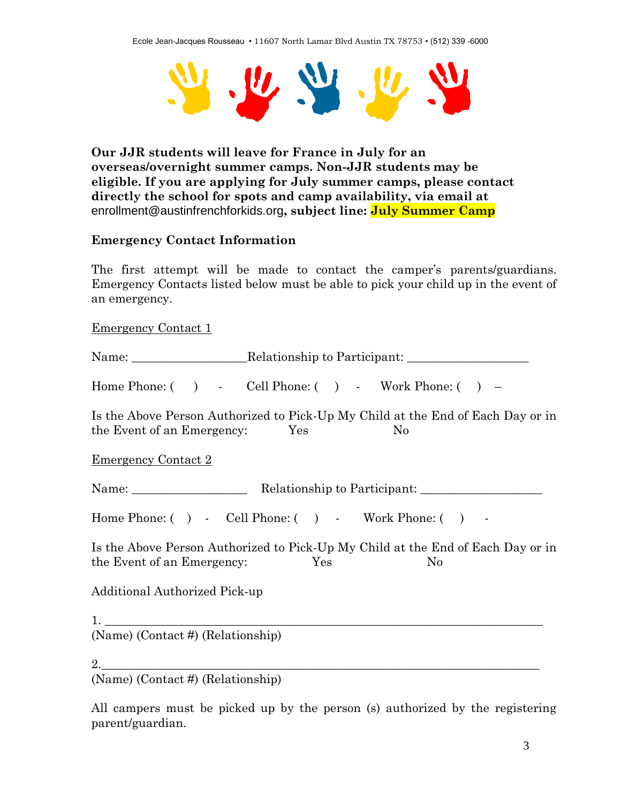

**Our JJR students will leave for France in July for an overseas/overnight summer camps. Non-JJR students may be eligible. If you are applying for July summer camps, please contact directly the school for spots and camp availability, via email at** enrollment@austinfrenchforkids.org**, subject line: July Summer Camp**

### **Emergency Contact Information**

The first attempt will be made to contact the camper's parents/guardians. Emergency Contacts listed below must be able to pick your child up in the event of an emergency.

Emergency Contact 1

Name: Relationship to Participant:

Home Phone: ( ) - Cell Phone: ( ) - Work Phone: ( ) –

Is the Above Person Authorized to Pick-Up My Child at the End of Each Day or in the Event of an Emergency: Yes No

Emergency Contact 2

Name: Relationship to Participant:

Home Phone: ( ) - Cell Phone: ( ) - Work Phone: ( ) -

Is the Above Person Authorized to Pick-Up My Child at the End of Each Day or in the Event of an Emergency: Yes No

Additional Authorized Pick-up

 $1.$ 

(Name) (Contact #) (Relationship)

2.\_\_\_\_\_\_\_\_\_\_\_\_\_\_\_\_\_\_\_\_\_\_\_\_\_\_\_\_\_\_\_\_\_\_\_\_\_\_\_\_\_\_\_\_\_\_\_\_\_\_\_\_\_\_\_\_\_\_\_\_\_\_\_\_\_\_\_\_\_\_\_\_

(Name) (Contact #) (Relationship)

All campers must be picked up by the person (s) authorized by the registering parent/guardian.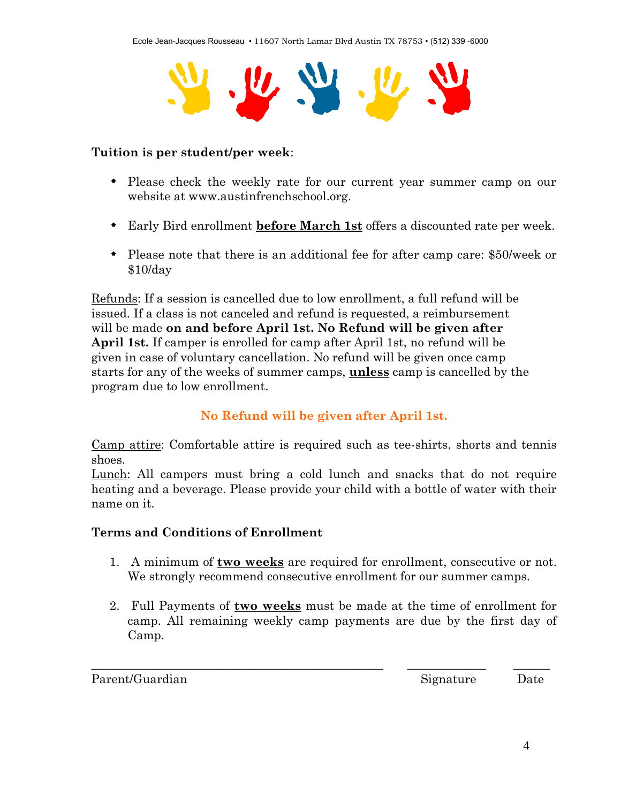

### **Tuition is per student/per week**:

- Please check the weekly rate for our current year summer camp on our website at www.austinfrenchschool.org.
- Early Bird enrollment **before March 1st** offers a discounted rate per week.
- Please note that there is an additional fee for after camp care: \$50/week or \$10/day

Refunds: If a session is cancelled due to low enrollment, a full refund will be issued. If a class is not canceled and refund is requested, a reimbursement will be made **on and before April 1st. No Refund will be given after April 1st.** If camper is enrolled for camp after April 1st, no refund will be given in case of voluntary cancellation. No refund will be given once camp starts for any of the weeks of summer camps, **unless** camp is cancelled by the program due to low enrollment.

## **No Refund will be given after April 1st.**

Camp attire: Comfortable attire is required such as tee-shirts, shorts and tennis shoes.

Lunch: All campers must bring a cold lunch and snacks that do not require heating and a beverage. Please provide your child with a bottle of water with their name on it.

### **Terms and Conditions of Enrollment**

- 1. A minimum of **two weeks** are required for enrollment, consecutive or not. We strongly recommend consecutive enrollment for our summer camps.
- 2. Full Payments of **two weeks** must be made at the time of enrollment for camp. All remaining weekly camp payments are due by the first day of Camp.

\_\_\_\_\_\_\_\_\_\_\_\_\_\_\_\_\_\_\_\_\_\_\_\_\_\_\_\_\_\_\_\_\_\_\_\_\_\_\_\_\_\_\_\_\_\_\_\_ \_\_\_\_\_\_\_\_\_\_\_\_\_ \_\_\_\_\_\_

Parent/Guardian Date Date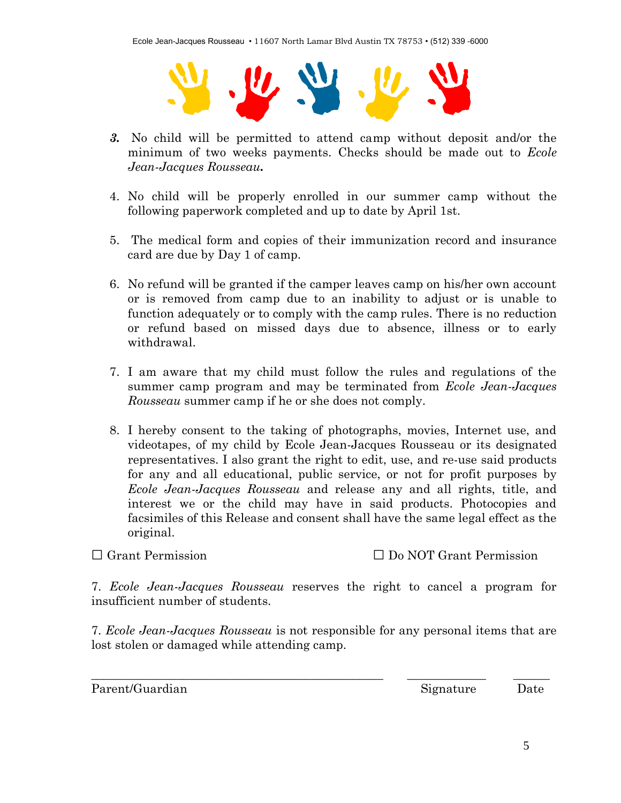

- *3.* No child will be permitted to attend camp without deposit and/or the minimum of two weeks payments. Checks should be made out to *Ecole Jean-Jacques Rousseau.*
- 4. No child will be properly enrolled in our summer camp without the following paperwork completed and up to date by April 1st.
- 5. The medical form and copies of their immunization record and insurance card are due by Day 1 of camp.
- 6. No refund will be granted if the camper leaves camp on his/her own account or is removed from camp due to an inability to adjust or is unable to function adequately or to comply with the camp rules. There is no reduction or refund based on missed days due to absence, illness or to early withdrawal.
- 7. I am aware that my child must follow the rules and regulations of the summer camp program and may be terminated from *Ecole Jean-Jacques Rousseau* summer camp if he or she does not comply.
- 8. I hereby consent to the taking of photographs, movies, Internet use, and videotapes, of my child by Ecole Jean-Jacques Rousseau or its designated representatives. I also grant the right to edit, use, and re-use said products for any and all educational, public service, or not for profit purposes by *Ecole Jean-Jacques Rousseau* and release any and all rights, title, and interest we or the child may have in said products. Photocopies and facsimiles of this Release and consent shall have the same legal effect as the original.

□ Grant Permission □ Do NOT Grant Permission

7. *Ecole Jean-Jacques Rousseau* reserves the right to cancel a program for insufficient number of students.

7. *Ecole Jean-Jacques Rousseau* is not responsible for any personal items that are lost stolen or damaged while attending camp.

\_\_\_\_\_\_\_\_\_\_\_\_\_\_\_\_\_\_\_\_\_\_\_\_\_\_\_\_\_\_\_\_\_\_\_\_\_\_\_\_\_\_\_\_\_\_\_\_ \_\_\_\_\_\_\_\_\_\_\_\_\_ \_\_\_\_\_\_

Parent/Guardian Date Date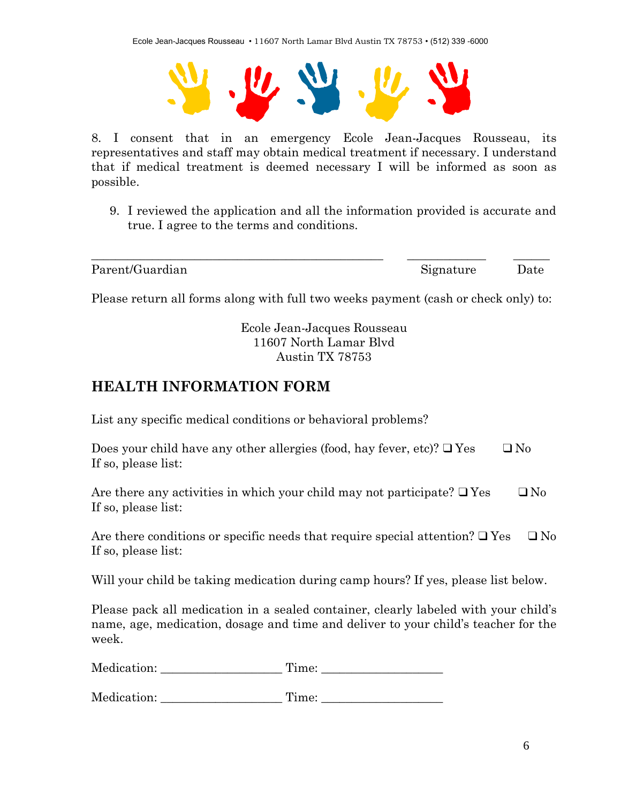Ecole Jean-Jacques Rousseau • 11607 North Lamar Blvd Austin TX 78753 • (512) 339 -6000



8. I consent that in an emergency Ecole Jean-Jacques Rousseau, its representatives and staff may obtain medical treatment if necessary. I understand that if medical treatment is deemed necessary I will be informed as soon as possible.

9. I reviewed the application and all the information provided is accurate and true. I agree to the terms and conditions.

Parent/Guardian Date Date

Please return all forms along with full two weeks payment (cash or check only) to:

\_\_\_\_\_\_\_\_\_\_\_\_\_\_\_\_\_\_\_\_\_\_\_\_\_\_\_\_\_\_\_\_\_\_\_\_\_\_\_\_\_\_\_\_\_\_\_\_ \_\_\_\_\_\_\_\_\_\_\_\_\_ \_\_\_\_\_\_

Ecole Jean-Jacques Rousseau 11607 North Lamar Blvd Austin TX 78753

# **HEALTH INFORMATION FORM**

List any specific medical conditions or behavioral problems?

| Does your child have any other allergies (food, hay fever, etc)? $\Box$ Yes | $\Box$ No |
|-----------------------------------------------------------------------------|-----------|
| If so, please list:                                                         |           |

Are there any activities in which your child may not participate?  $\Box$  Yes  $\Box$  No If so, please list:

Are there conditions or specific needs that require special attention?  $\Box$  Yes  $\Box$  No If so, please list:

Will your child be taking medication during camp hours? If yes, please list below.

Please pack all medication in a sealed container, clearly labeled with your child's name, age, medication, dosage and time and deliver to your child's teacher for the week.

Medication: Time:

Medication: Time: